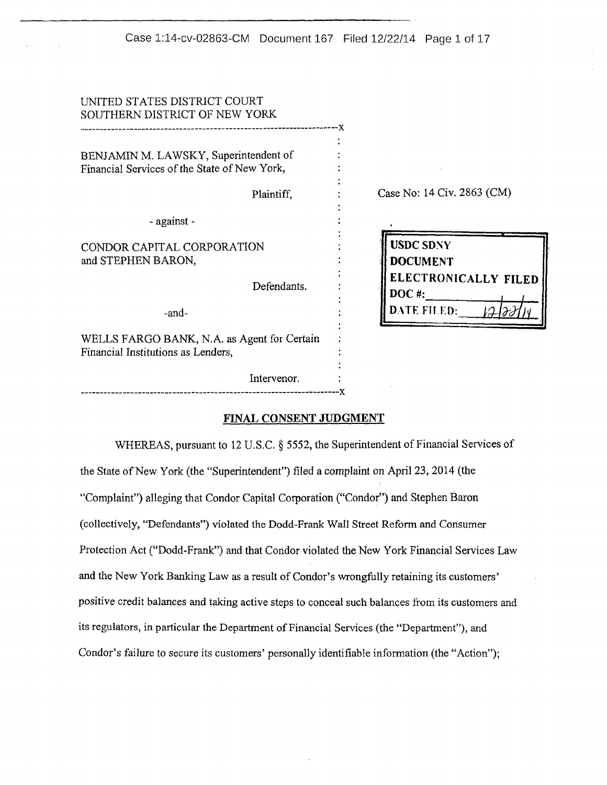| UNITED STATES DISTRICT COURT<br>SOUTHERN DISTRICT OF NEW YORK                         |                                     |
|---------------------------------------------------------------------------------------|-------------------------------------|
| BENJAMIN M. LAWSKY, Superintendent of<br>Financial Services of the State of New York, |                                     |
| Plaintiff,                                                                            | Case No: 14 Civ. 2863 (CM)          |
| - against -                                                                           |                                     |
| CONDOR CAPITAL CORPORATION<br>and STEPHEN BARON,                                      | <b>USDC SDNY</b><br><b>DOCUMENT</b> |
| Defendants.                                                                           | ELECTRONICALLY FILED<br>$DOC$ #:    |
| -and-                                                                                 | DATE FILED:                         |
| WELLS FARGO BANK, N.A. as Agent for Certain<br>Financial Institutions as Lenders,     |                                     |
| Intervenor.                                                                           |                                     |
|                                                                                       |                                     |

#### **FINAL CONSENT JUDGMENT**

WHEREAS, pursuant to 12 U.S.C. § 5552, the Superintendent of Financial Services of the State of New York (the "Superintendent") filed a complaint on April 23, 2014 (the "Complaint") alleging that Condor Capital Corporation ("Condor") and Stephen Baron (collectively, "Defendants") violated the Dodd-Frank Wall Street Reform and Consumer Protection Act ("Dodd-Frank") and that Condor violated the New York Financial Services Law and the New York Banking Law as a result of Condor's wrongfully retaining its customers' positive credit balances and taking active steps to conceal such balances from its customers and its regulators, in particular the Department of Financial Services (the "Department"), and Condor's failure to secure its customers' personally identifiable information (the "Action");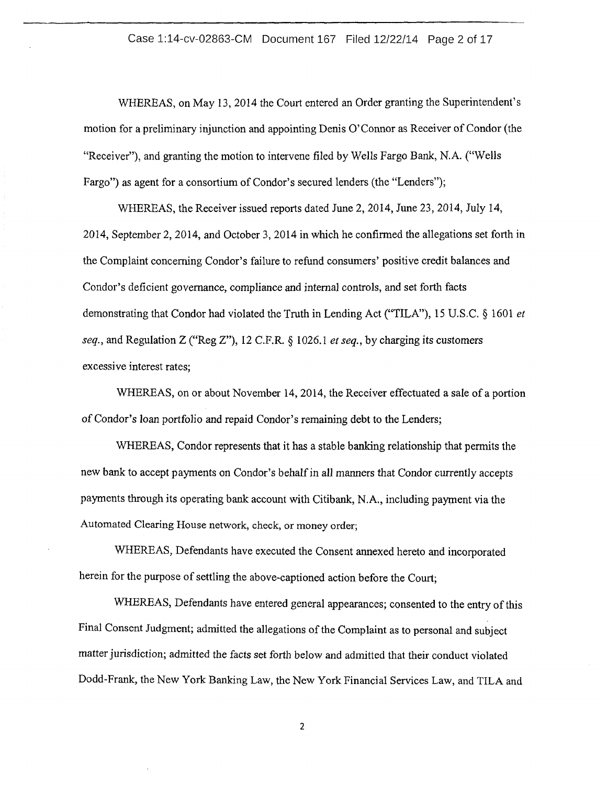## Case 1:14-cv-02863-CM Document 167 Filed 12/22/14 Page 2 of 17

WHEREAS, on May 13, 2014 the Court entered an Order granting the Superintendent's motion for a preliminary injunction and appointing Denis O'Connor as Receiver of Condor (the "Receiver"), and granting the motion to intervene filed by Wells Fargo Bank, N.A. ("Wells Fargo") as agent for a consortium of Condor's secured lenders (the "Lenders");

WHEREAS, the Receiver issued reports dated June 2, 2014, June 23, 2014, July 14, 2014, September 2, 2014, and October 3, 2014 in which he confirmed the allegations set forth in the Complaint concerning Condor's failure to refund consumers' positive credit balances and Condor's deficient governance, compliance and internal controls, and set forth facts demonstrating that Condor had violated the Truth in Lending Act ("TILA"), 15 U.S.C. § 1601 *et seq.,* and Regulation Z ("Reg Z"), 12 C.F.R. § 1026.1 *et seq.,* by charging its customers excessive interest rates;

WHEREAS, on or about November 14, 2014, the Receiver effectuated a sale of a portion of Condor's loan portfolio and repaid Condor's remaining debt to the Lenders;

WHEREAS, Condor represents that it has a stable banking relationship that permits the new bank to accept payments on Condor's behalf in all manners that Condor currently accepts payments through its operating bank account with Citibank, N.A., including payment via the Automated Clearing House network, check, or money order;

WHEREAS, Defendants have executed the Consent annexed hereto and incorporated herein for the purpose of settling the above-captioned action before the Court;

WHEREAS, Defendants have entered general appearances; consented to the entry of this Final Consent Judgment; admitted the allegations of the Complaint as to personal and subject matter jurisdiction; admitted the facts set forth below and admitted that their conduct violated Dodd-Frank, the New York Banking Law, the New York Financial Services Law, and TILA and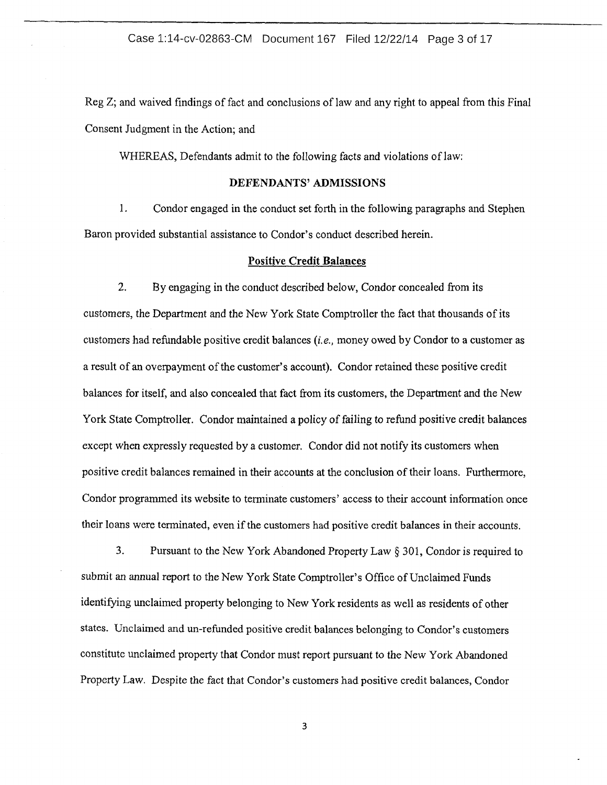## Case 1:14-cv-02863-CM Document 167 Filed 12/22/14 Page 3 of 17

Reg Z; and waived findings of fact and conclusions of law and any right to appeal from this Final Consent Judgment in the Action; and

WHEREAS, Defendants admit to the following facts and violations of law:

# **DEFENDANTS' ADMISSIONS**

1. Condor engaged in the conduct set forth in the following paragraphs and Stephen Baron provided substantial assistance to Condor's conduct described herein.

#### **Positive Credit Balances**

2. By engaging in the conduct described below, Condor concealed from its customers, the Department and the New York State Comptroller the fact that thousands of its customers had refundable positive credit balances (i.e., money owed by Condor to a customer as a result of an overpayment of the customer's account). Condor retained these positive credit balances for itself, and also concealed that fact from its customers, the Department and the New York State Comptroller. Condor maintained a policy of failing to refund positive credit balances except when expressly requested by a customer. Condor did not notify its customers when positive credit balances remained in their accounts at the conclusion of their loans. Furthermore, Condor programmed its website to terminate customers' access to their account information once their loans were terminated, even if the customers had positive credit balances in their accounts.

3. Pursuant to the New York Abandoned Property Law§ 301, Condor is required to submit an annual report to the New York State Comptroller's Office of Unclaimed Funds identifying unclaimed property belonging to New York residents as well as residents of other states. Unclaimed and un-refunded positive credit balances belonging to Condor's customers constitute unclaimed property that Condor must report pursuant to the New York Abandoned Property Law. Despite the fact that Condor's customers had positive credit balances, Condor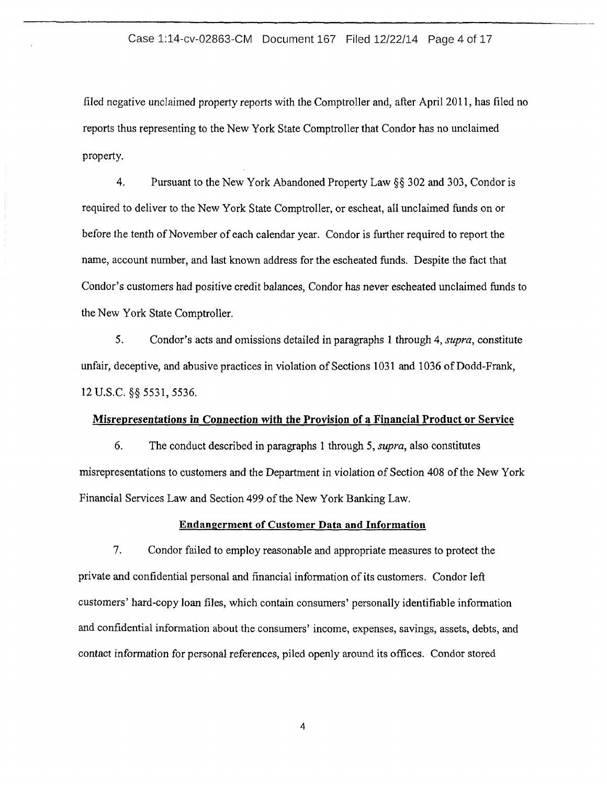## Case 1:14-cv-02863-CM Document 167 Filed 12/22/14 Page 4 of 17

filed negative unclaimed property reports with the Comptroller and, after April 2011, has filed no reports thus representing to the New York State Comptroller that Condor has no unclaimed property.

4. Pursuant to the New York Abandoned Property Law§§ 302 and 303, Condor is required to deliver to the New York State Comptroller, or escheat, all unclaimed funds on or before the tenth of November of each calendar year. Condor is further required to report the name, account number, and last known address for the escheated funds. Despite the fact that Condor's customers had positive credit balances, Condor has never escheated unclaimed funds to the New York State Comptroller.

5. Condor's acts and omissions detailed in paragraphs 1 through 4, *supra,* constitute unfair, deceptive, and abusive practices in violation of Sections 1031 and 1036 of Dodd-Frank, 12 u.s.c. §§ 5531, 5536.

#### Misrepresentations in Connection with the Provision of a Financial Product or Service

6. The conduct described in paragraphs 1 through 5, *supra,* also constitutes misrepresentations to customers and the Department in violation of Section 408 ofthe New York Financial Services Law and Section 499 of the New York Banking Law.

#### Endangerment of Customer Data and Information

7. Condor failed to employ reasonable and appropriate measures to protect the private and confidential personal and financial information ofits customers. Condor left customers' hard-copy loan files, which contain consumers' personally identifiable information and confidential information about the consumers' income, expenses, savings, assets, debts, and contact information for personal references, piled openly around its offices. Condor stored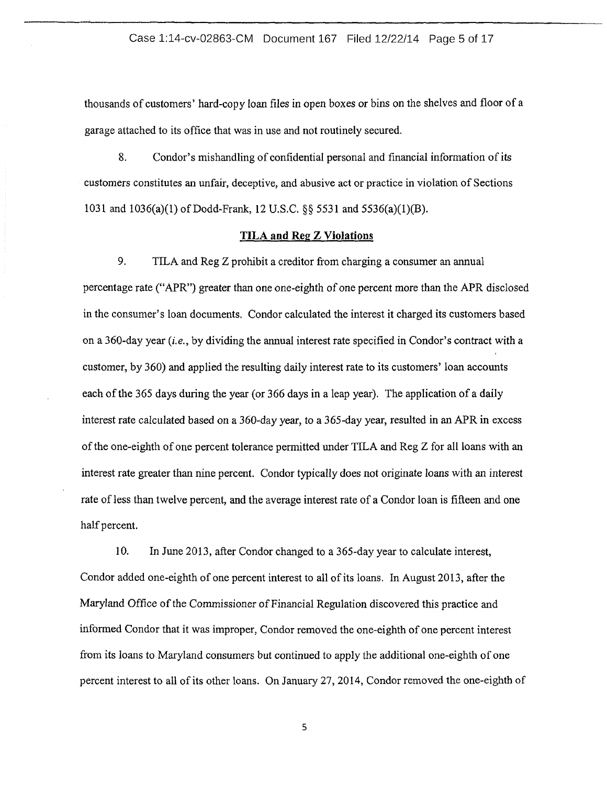#### Case 1:14-cv-02863-CM Document 167 Filed 12/22/14 Page 5 of 17

thousands of customers' hard-copy loan files in open boxes or bins on the shelves and floor of a garage attached to its office that was in use and not routinely secured.

8. Condor's mishandling of confidential personal and financial information of its customers constitutes an unfair, deceptive, and abusive act or practice in violation of Sections 1031 and  $1036(a)(1)$  of Dodd-Frank, 12 U.S.C. §§ 5531 and 5536(a)(1)(B).

# **TILA and Reg Z Violations**

9. TILA and Reg Z prohibit a creditor from charging a consumer an annual percentage rate ("APR") greater than one one-eighth of one percent more than the APR disclosed in the consumer's loan documents. Condor calculated the interest it charged its customers based on a 360-day year *(i.e.,* by dividing the annual interest rate specified in Condor's contract with a customer, by 360) and applied the resulting daily interest rate to its customers' loan accounts each of the 365 days during the year (or 366 days in a leap year). The application of a daily interest rate calculated based on a 360-day year, to a 365-day year, resulted in an APR in excess ofthe one-eighth of one percent tolerance permitted under TILA and Reg Z for all loans with an interest rate greater than nine percent. Condor typically does not originate loans with an interest rate of less than twelve percent, and the average interest rate of a Condor loan is fifteen and one half percent.

10. In June 2013, after Condor changed to a 365-day year to calculate interest, Condor added one-eighth of one percent interest to all of its loans. In August 2013, after the Maryland Office of the Commissioner of Financial Regulation discovered this practice and informed Condor that it was improper, Condor removed the one-eighth of one percent interest from its loans to Maryland consumers but continued to apply the additional one-eighth of one percent interest to all of its other loans. On January 27, 2014, Condor removed the one-eighth of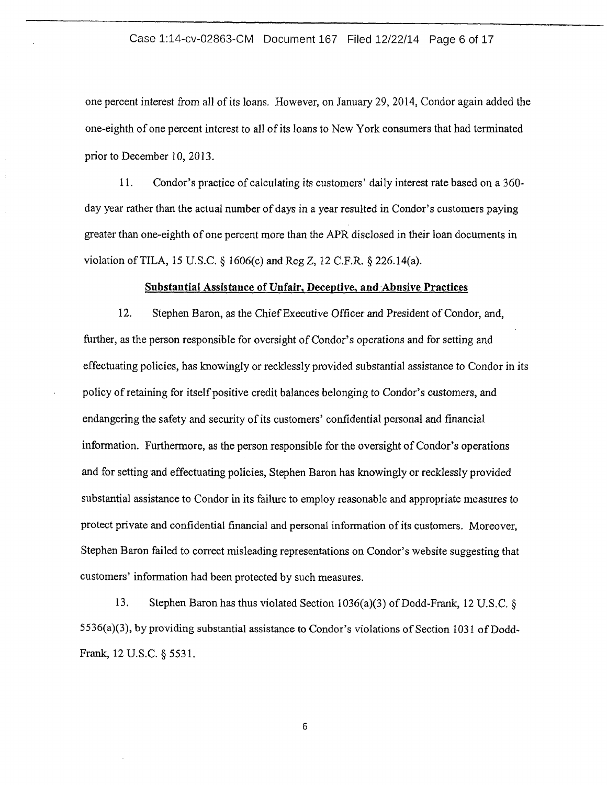## Case 1:14-cv-02863-CM Document 167 Filed 12/22/14 Page 6 of 17

one percent interest from all of its loans. However, on January 29, 2014, Condor again added the one-eighth of one percent interest to all of its loans to New York consumers that had terminated prior to December 10, 2013.

11. Condor's practice of calculating its customers' daily interest rate based on a 360 day year rather than the actual number of days in a year resulted in Condor's customers paying greater than one-eighth of one percent more than the APR disclosed in their loan documents in violation ofTILA, 15 U.S.C. § 1606(c) and Reg Z, 12 C.P.R.§ 226.14(a).

#### **Substantial Assistance of Unfair, Deceptive, and Abusive Practices**

12. Stephen Baron, as the Chief Executive Officer and President of Condor, and, further, as the person responsible for oversight of Condor's operations and for setting and effectuating policies, has knowingly or recklessly provided substantial assistance to Condor in its policy of retaining for itself positive credit balances belonging to Condor's customers, and endangering the safety and security of its customers' confidential personal and financial information. Furthermore, as the person responsible for the oversight of Condor's operations and for setting and effectuating policies, Stephen Baron has knowingly or recklessly provided substantial assistance to Condor in its failure to employ reasonable and appropriate measures to protect private and confidential financial and personal information of its customers. Moreover, Stephen Baron failed to correct misleading representations on Condor's website suggesting that customers' information had been protected by such measures.

13. Stephen Baron has thus violated Section 1036(a)(3) of Dodd-Frank, 12 U.S.C. § 5536(a)(3), by providing substantial assistance to Condor's violations of Section 1031 of Dodd-Frank, 12 U.S.C. § 5531.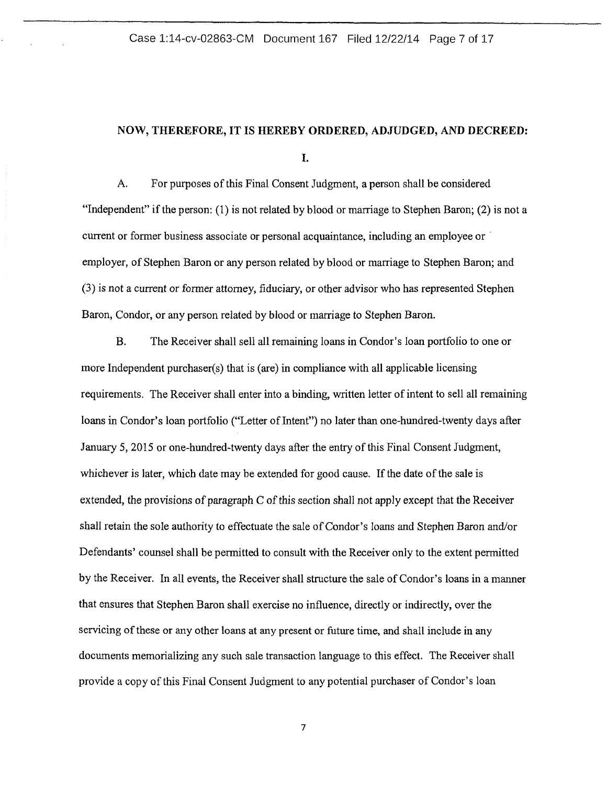# **NOW, THEREFORE, IT IS HEREBY ORDERED, ADJUDGED, AND DECREED:**

I.

A. For purposes of this Final Consent Judgment, a person shall be considered "Independent" if the person: (1) is not related by blood or marriage to Stephen Baron; (2) is not a current or former business associate or personal acquaintance, including an employee or employer, of Stephen Baron or any person related by blood or marriage to Stephen Baron; and (3) is not a current or former attorney, fiduciary, or other advisor who has represented Stephen Baron, Condor, or any person related by blood or marriage to Stephen Baron.

B. The Receiver shall sell all remaining loans in Condor's loan portfolio to one or more Independent purchaser(s) that is (are) in compliance with all applicable licensing requirements. The Receiver shall enter into a binding, written letter of intent to sell all remaining loans in Condor's loan portfolio ("Letter of Intent") no later than one-hundred-twenty days after January 5, 2015 or one-hundred-twenty days after the entry of this Final Consent Judgment, whichever is later, which date may be extended for good cause. If the date of the sale is extended, the provisions of paragraph C of this section shall not apply except that the Receiver shall retain the sole authority to effectuate the sale of Condor's loans and Stephen Baron and/or Defendants' counsel shall be permitted to consult with the Receiver only to the extent permitted by the Receiver. In all events, the Receiver shall structure the sale of Condor's loans in a manner that ensures that Stephen Baron shall exercise no influence, directly or indirectly, over the servicing of these or any other loans at any present or future time, and shall include in any documents memorializing any such sale transaction language to this effect. The Receiver shall provide a copy of this Final Consent Judgment to any potential purchaser of Condor's loan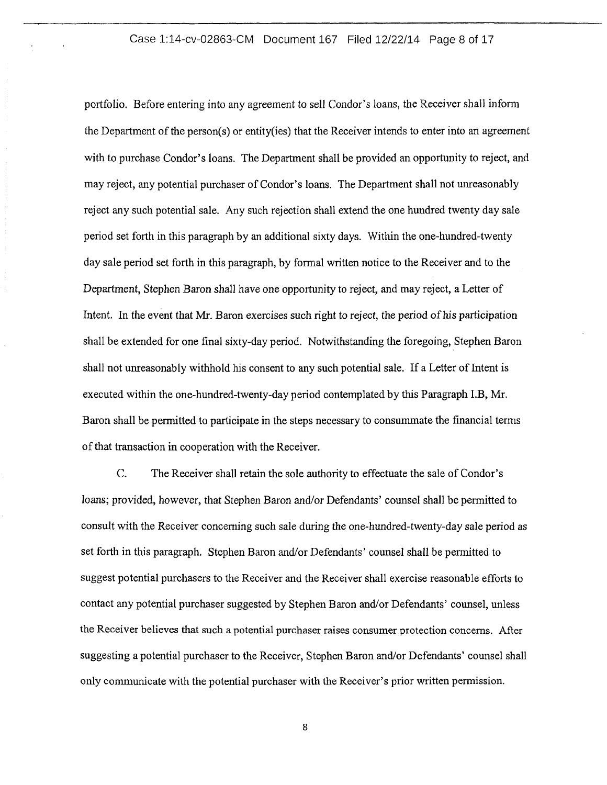# Case 1:14-cv-02863-CM Document 167 Filed 12/22/14 Page 8 of 17

portfolio. Before entering into any agreement to sell Condor's loans, the Receiver shall inform the Department of the person(s) or entity(ies) that the Receiver intends to enter into an agreement with to purchase Condor's loans. The Department shall be provided an opportunity to reject, and may reject, any potential purchaser of Condor's loans. The Department shall not unreasonably reject any such potential sale. Any such rejection shall extend the one hundred twenty day sale period set forth in this paragraph by an additional sixty days. Within the one-hundred-twenty day sale period set forth in this paragraph, by formal written notice to the Receiver and to the Department, Stephen Baron shall have one opportunity to reject, and may reject, a Letter of Intent. In the event that Mr. Baron exercises such right to reject, the period of his participation shall be extended for one final sixty-day period. Notwithstanding the foregoing, Stephen Baron shall not unreasonably withhold his consent to any such potential sale. If a Letter of Intent is executed within the one-hundred-twenty-day period contemplated by this Paragraph I.B, Mr. Baron shall be permitted to participate in the steps necessary to consummate the financial terms of that transaction in cooperation with the Receiver.

C. The Receiver shall retain the sole authority to effectuate the sale of Condor's loans; provided, however, that Stephen Baron and/or Defendants' counsel shall be permitted to consult with the Receiver concerning such sale during the one-hundred-twenty-day sale period as set forth in this paragraph. Stephen Baron and/or Defendants' counsel shall be permitted to suggest potential purchasers to the Receiver and the Receiver shall exercise reasonable efforts to contact any potential purchaser suggested by Stephen Baron and/or Defendants' counsel, unless the Receiver believes that such a potential purchaser raises consumer protection concerns. After suggesting a potential purchaser to the Receiver, Stephen Baron and/or Defendants' counsel shall only communicate with the potential purchaser with the Receiver's prior written permission.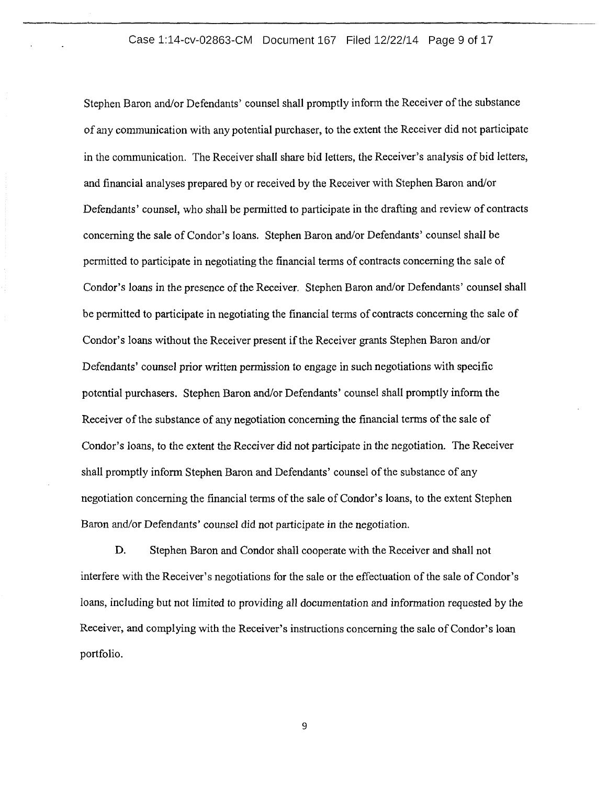## Case 1:14-cv-02863-CM Document 167 Filed 12/22/14 Page 9 of 17

Stephen Baron and/or Defendants' counsel shall promptly inform the Receiver of the substance of any communication with any potential purchaser, to the extent the Receiver did not participate in the communication. The Receiver shall share bid letters, the Receiver's analysis of bid letters, and financial analyses prepared by or received by the Receiver with Stephen Baron and/or Defendants' counsel, who shall be permitted to participate in the drafting and review of contracts concerning the sale of Condor's loans. Stephen Baron and/or Defendants' counsel shall be permitted to participate in negotiating the financial terms of contracts concerning the sale of Condor's loans in the presence of the Receiver. Stephen Baron and/or Defendants' counsel shall be permitted to participate in negotiating the financial terms of contracts concerning the sale of Condor's loans without the Receiver present if the Receiver grants Stephen Baron and/or Defendants' counsel prior written permission to engage in such negotiations with specific potential purchasers. Stephen Baron and/or Defendants' counsel shall promptly inform the Receiver of the substance of any negotiation concerning the financial terms of the sale of Condor's loans, to the extent the Receiver did not participate in the negotiation. The Receiver shall promptly inform Stephen Baron and Defendants' counsel of the substance of any negotiation concerning the financial terms of the sale of Condor's loans, to the extent Stephen Baron and/or Defendants' counsel did not participate in the negotiation.

D. Stephen Baron and Condor shall cooperate with the Receiver and shall not interfere with the Receiver's negotiations for the sale or the effectuation of the sale of Condor's loans, including but not limited to providing all documentation and information requested by the Receiver, and complying with the Receiver's instructions concerning the sale of Condor's loan portfolio.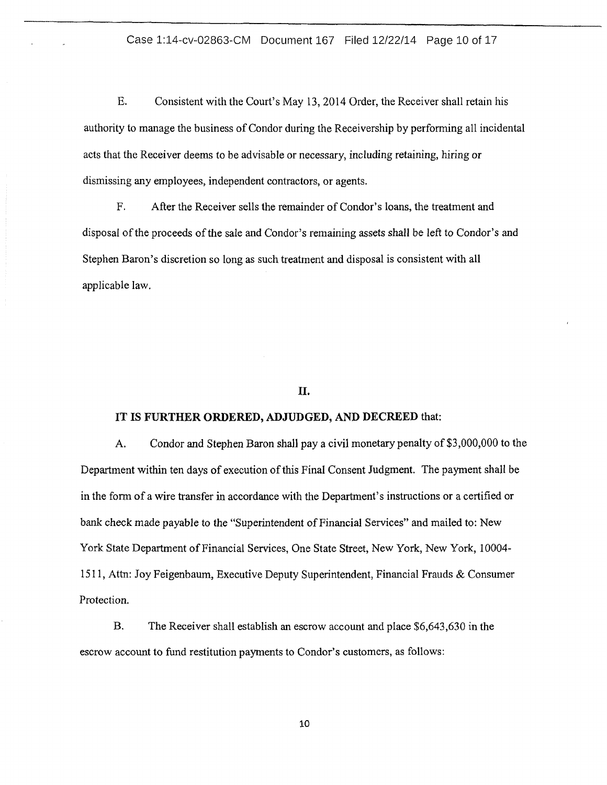## Case 1:14-cv-02863-CM Document 167 Filed 12/22/14 Page 10 of 17

E. Consistent with the Court's May 13, 2014 Order, the Receiver shall retain his authority to manage the business of Condor during the Receivership by performing all incidental acts that the Receiver deems to be advisable or necessary, including retaining, hiring or dismissing any employees, independent contractors, or agents.

F. After the Receiver sells the remainder of Condor's loans, the treatment and disposal of the proceeds of the sale and Condor's remaining assets shall be left to Condor's and Stephen Baron's discretion so long as such treatment and disposal is consistent with all applicable law.

## II.

#### IT IS **FURTHER ORDERED, ADJUDGED, AND DECREED** that:

A. Condor and Stephen Baron shall pay a civil monetary penalty of \$3,000,000 to the Department within ten days of execution of this Final Consent Judgment. The payment shall be in the form of a wire transfer in accordance with the Department's instructions or a certified or bank check made payable to the "Superintendent of Financial Services" and mailed to: New York State Department of Financial Services, One State Street, New York, New York, 10004-1511, Attn: Joy Feigenbaum, Executive Deputy Superintendent, Financial Frauds & Consumer Protection.

B. The Receiver shall establish an escrow account and place \$6,643,630 in the escrow account to fund restitution payments to Condor's customers, as follows: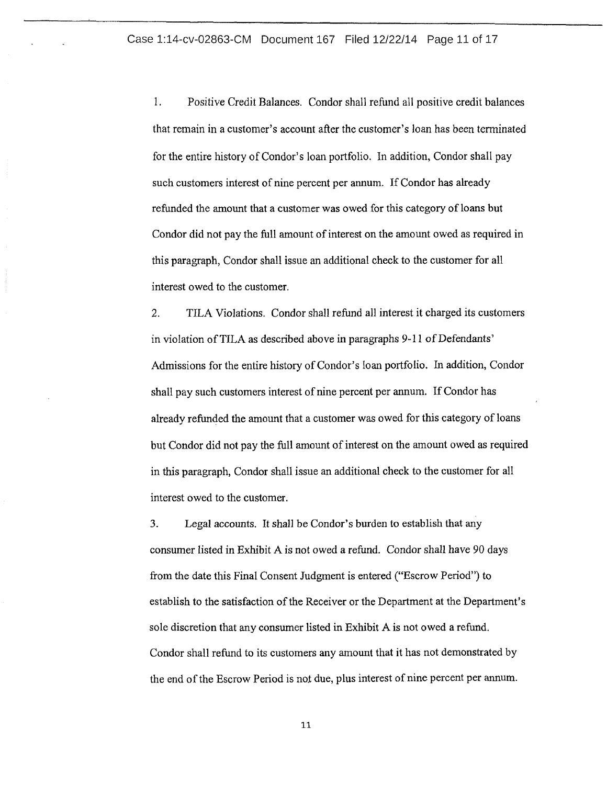1. Positive Credit Balances. Condor shall refund all positive credit balances that remain in a customer's account after the customer's loan has been terminated for the entire history of Condor's loan portfolio. In addition, Condor shall pay such customers interest of nine percent per annum. If Condor has already refunded the amount that a customer was owed for this category of loans but Condor did not pay the full amount of interest on the amount owed as required in this paragraph, Condor shall issue an additional check to the customer for all interest owed to the customer.

2. TILA Violations. Condor shall refund all interest it charged its customers in violation of TILA as described above in paragraphs 9-11 of Defendants' Admissions for the entire history of Condor's loan portfolio. In addition, Condor shall pay such customers interest of nine percent per annum. If Condor has already refunded the amount that a customer was owed for this category of loans but Condor did not pay the full amount of interest on the amount owed as required in this paragraph, Condor shall issue an additional check to the customer for all interest owed to the customer.

3. Legal accounts. It shall be Condor's burden to establish that any consumer listed in Exhibit A is not owed a refund. Condor shall have 90 days from the date this Final Consent Judgment is entered ("Escrow Period") to establish to the satisfaction of the Receiver or the Department at the Department's sole discretion that any consumer listed in Exhibit A is not owed a refund. Condor shall refund to its customers any amount that it has not demonstrated by the end of the Escrow Period is not due, plus interest of nine percent per annum.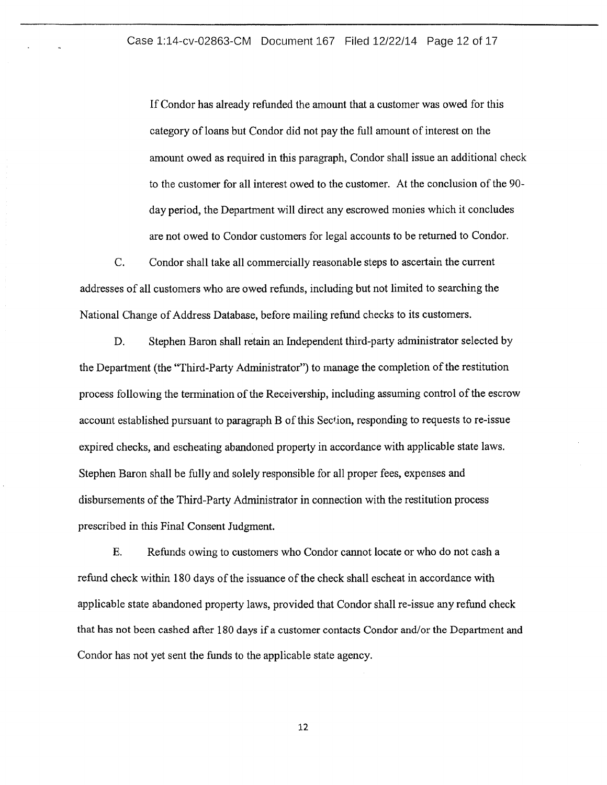If Condor has already refunded the amount that a customer was owed for this category of loans but Condor did not pay the full amount of interest on the amount owed as required in this paragraph, Condor shall issue an additional check to the customer for all interest owed to the customer. At the conclusion of the 90 day period, the Department will direct any escrowed monies which it concludes are not owed to Condor customers for legal accounts to be returned to Condor.

C. Condor shall take all commercially reasonable steps to ascertain the current addresses of all customers who are owed refunds, including but not limited to searching the National Change of Address Database, before mailing refund checks to its customers.

D. Stephen Baron shall retain an Independent third-party administrator selected by the Department (the "Third-Party Administrator") to manage the completion of the restitution process following the termination of the Receivership, including assuming control of the escrow account established pursuant to paragraph B of this Section, responding to requests to re-issue expired checks, and escheating abandoned property in accordance with applicable state laws. Stephen Baron shall be fully and solely responsible for all proper fees, expenses and disbursements of the Third-Party Administrator in connection with the restitution process prescribed in this Final Consent Judgment.

E. Refunds owing to customers who Condor cannot locate or who do not cash a refund check within 180 days of the issuance of the check shall escheat in accordance with applicable state abandoned property laws, provided that Condor shall re-issue any refund check that has not been cashed after 180 days if a customer contacts Condor and/or the Department and Condor has not yet sent the funds to the applicable state agency.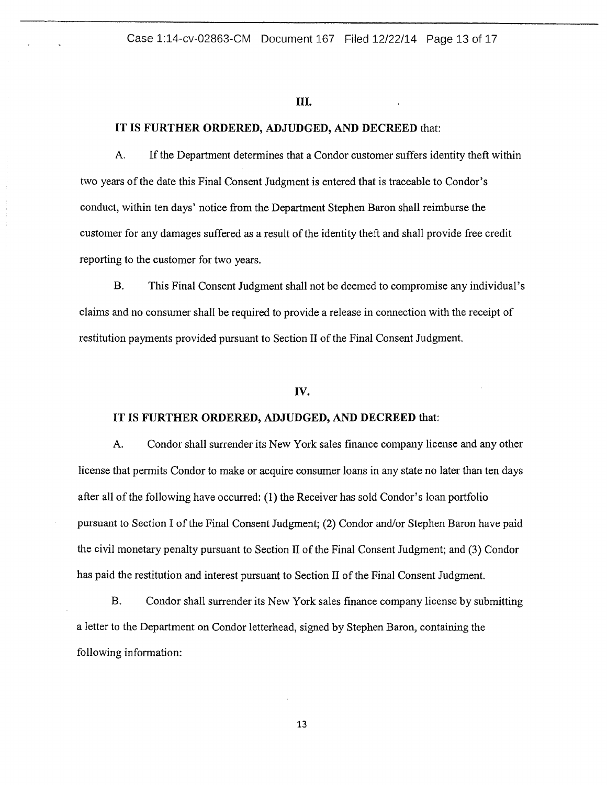#### III.

## IT IS FURTHER ORDERED, ADJUDGED, AND DECREED that:

A. If the Department determines that a Condor customer suffers identity theft within two years of the date this Final Consent Judgment is entered that is traceable to Condor's conduct, within ten days' notice from the Department Stephen Baron shall reimburse the customer for any damages suffered as a result of the identity theft and shall provide free credit reporting to the customer for two years.

B. This Final Consent Judgment shall not be deemed to compromise any individual's claims and no consumer shall be required to provide a release in connection with the receipt of restitution payments provided pursuant to Section II of the Final Consent Judgment.

#### IV.

#### IT IS FURTHER ORDERED, ADJUDGED, AND DECREED that:

A. Condor shall surrender its New York sales finance company license and any other license that permits Condor to make or acquire consumer loans in any state no later than ten days after all of the following have occurred: (1) the Receiver has sold Condor's loan portfolio pursuant to Section I of the Final Consent Judgment; (2) Condor and/or Stephen Baron have paid the civil monetary penalty pursuant to Section II of the Final Consent Judgment; and (3) Condor has paid the restitution and interest pursuant to Section II of the Final Consent Judgment.

B. Condor shall surrender its New York sales finance company license by submitting a letter to the Department on Condor letterhead, signed by Stephen Baron, containing the following information: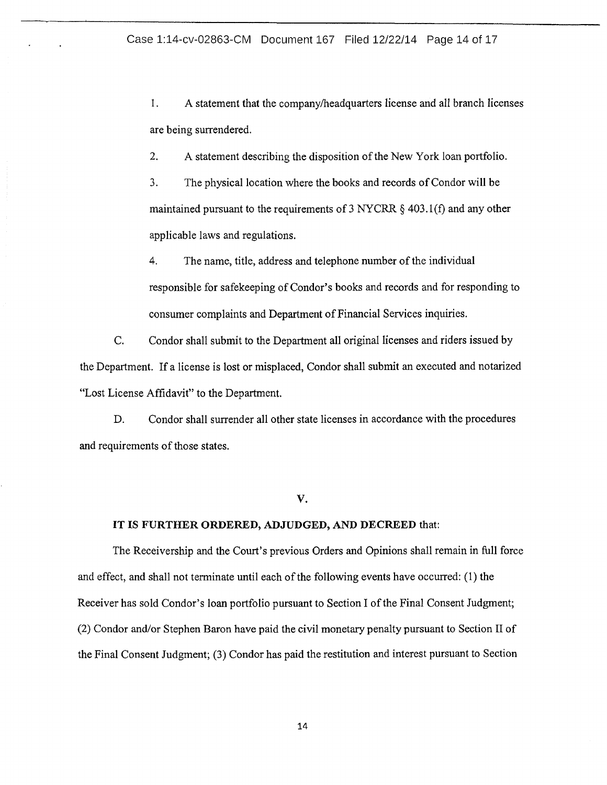1. A statement that the company/headquarters license and all branch licenses are being surrendered.

2. A statement describing the disposition of the New York loan portfolio.

3. The physical location where the books and records of Condor will be maintained pursuant to the requirements of 3 NYCRR  $\S$  403.1(f) and any other applicable laws and regulations.

4. The name, title, address and telephone number of the individual responsible for safekeeping of Condor's books and records and for responding to consumer complaints and Department of Financial Services inquiries.

C. Condor shall submit to the Department all original licenses and riders issued by the Department. If a license is lost or misplaced, Condor shall submit an executed and notarized "Lost License Affidavit" to the Department.

D. Condor shall surrender all other state licenses in accordance with the procedures and requirements of those states.

## **v.**

# **IT IS FURTHER ORDERED, ADJUDGED, AND DECREED** that:

The Receivership and the Court's previous Orders and Opinions shall remain in full force and effect, and shall not terminate until each of the following events have occurred: (1) the Receiver has sold Condor's loan portfolio pursuant to Section I of the Final Consent Judgment; (2) Condor and/or Stephen Baron have paid the civil monetary penalty pursuant to Section II of the Final Consent Judgment; (3) Condor has paid the restitution and interest pursuant to Section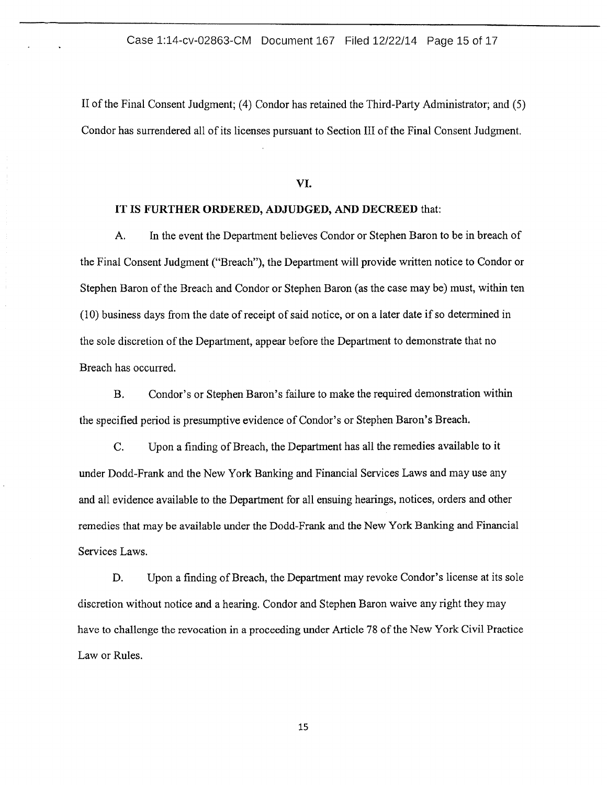II of the Final Consent Judgment; (4) Condor has retained the Third-Party Administrator; and (5) Condor has surrendered all of its licenses pursuant to Section III of the Final Consent Judgment.

VI.

#### **IT IS FURTHER ORDERED, ADJUDGED, AND DECREED** that:

A. In the event the Department believes Condor or Stephen Baron to be in breach of the Final Consent Judgment ("Breach"), the Department will provide written notice to Condor or Stephen Baron of the Breach and Condor or Stephen Baron (as the case may be) must, within ten (1 0) business days from the date of receipt of said notice, or on a later date if so determined in the sole discretion of the Department, appear before the Department to demonstrate that no Breach has occurred.

B. Condor's or Stephen Baron's failure to make the required demonstration within the specified period is presumptive evidence of Condor's or Stephen Baron's Breach.

C. Upon a finding of Breach, the Department has all the remedies available to it under Dodd-Frank and the New York Banking and Financial Services Laws and may use any and all evidence available to the Department for all ensuing hearings, notices, orders and other remedies that may be available under the Dodd-Frank and the New York Banking and Financial Services Laws.

D. Upon a finding of Breach, the Department may revoke Condor's license at its sole discretion without notice and a hearing. Condor and Stephen Baron waive any right they may have to challenge the revocation in a proceeding under Article 78 of the New York Civil Practice Law or Rules.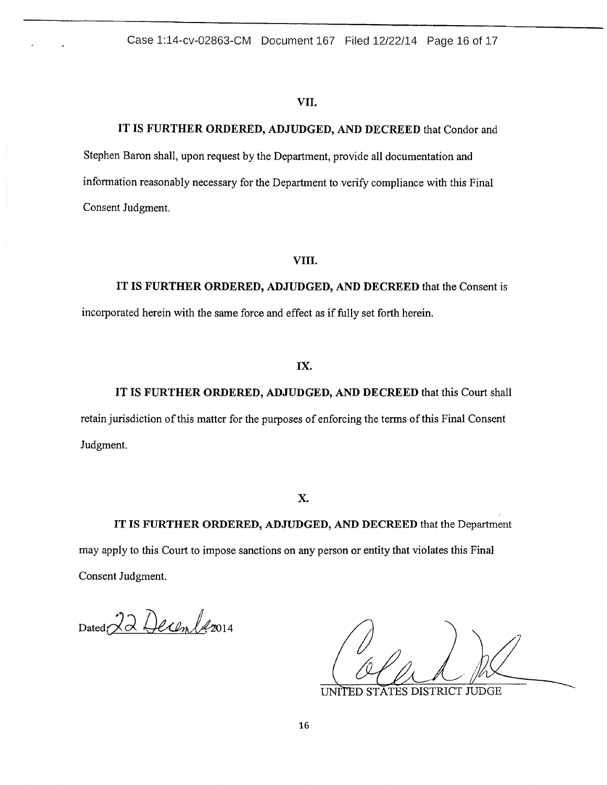### VII.

# IT IS FURTHER ORDERED, ADJUDGED, AND DECREED that Condor and

Stephen Baron shall, upon request by the Department, provide all documentation and information reasonably necessary for the Department to verify compliance with this Final Consent Judgment.

# VIII.

IT IS FURTHER ORDERED, ADJUDGED, AND DECREED that the Consent is incorporated herein with the same force and effect as if fully set forth herein.

# IX.

IT IS FURTHER ORDERED, ADJUDGED, AND DECREED that this Court shall retain jurisdiction of this matter for the purposes of enforcing the terms of this Final Consent Judgment.

X.

IT IS FURTHER ORDERED, ADJUDGED, AND DECREED that the Department may apply to this Court to impose sanctions on any person or entity that violates this Final Consent Judgment.

Dated 22 Decembre 2014

**UNITED STATES DISTRICT JUDGE**